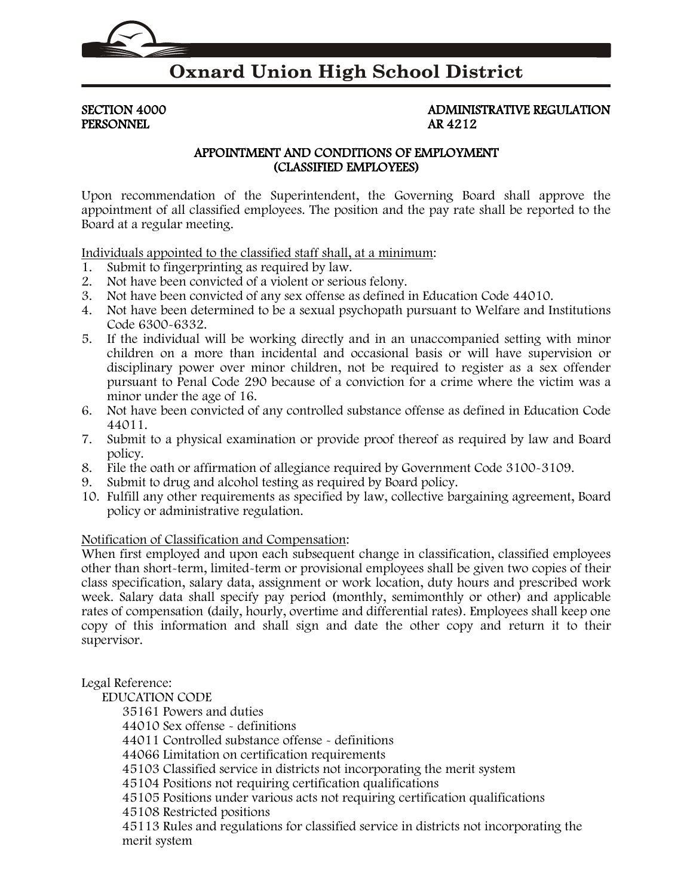

## **Oxnard Union High School District**

PERSONNEL

# SECTION 4000 ADMINISTRATIVE REGULATION PERSONNEL

#### APPOINTMENT AND CONDITIONS OF EMPLOYMENT (CLASSIFIED EMPLOYEES)

Upon recommendation of the Superintendent, the Governing Board shall approve the appointment of all classified employees. The position and the pay rate shall be reported to the Board at a regular meeting.

Individuals appointed to the classified staff shall, at a minimum:

- 1. Submit to fingerprinting as required by law.
- 2. Not have been convicted of a violent or serious felony.
- 3. Not have been convicted of any sex offense as defined in Education Code [44010.](http://www.gamutonline.net/displayPolicy/136083/4)
- 4. Not have been determined to be a sexual psychopath pursuant to Welfare and Institutions Code [6300-](http://www.gamutonline.net/displayPolicy/222084/4)6332.
- 5. If the individual will be working directly and in an unaccompanied setting with minor children on a more than incidental and occasional basis or will have supervision or disciplinary power over minor children, not be required to register as a sex offender pursuant to Penal Code [290](http://www.gamutonline.net/displayPolicy/226069/4) because of a conviction for a crime where the victim was a minor under the age of 16.
- 6. Not have been convicted of any controlled substance offense as defined in Education Code [44011.](http://www.gamutonline.net/displayPolicy/130492/4)
- 7. Submit to a physical examination or provide proof thereof as required by law and Board policy.
- 8. File the oath or affirmation of allegiance required by Government Code [3100-](http://www.gamutonline.net/displayPolicy/144396/4)[3109.](http://www.gamutonline.net/displayPolicy/144405/4)
- 9. Submit to drug and alcohol testing as required by Board policy.
- 10. Fulfill any other requirements as specified by law, collective bargaining agreement, Board policy or administrative regulation.

#### Notification of Classification and Compensation:

When first employed and upon each subsequent change in classification, classified employees other than short-term, limited-term or provisional employees shall be given two copies of their class specification, salary data, assignment or work location, duty hours and prescribed work week. Salary data shall specify pay period (monthly, semimonthly or other) and applicable rates of compensation (daily, hourly, overtime and differential rates). Employees shall keep one copy of this information and shall sign and date the other copy and return it to their supervisor.

#### Legal Reference:

EDUCATION CODE

[35161](http://www.gamutonline.net/displayPolicy/131400/4) Powers and duties

[44010](http://www.gamutonline.net/displayPolicy/136083/4) Sex offense - definitions

[44011](http://www.gamutonline.net/displayPolicy/130492/4) Controlled substance offense - definitions

[44066](http://www.gamutonline.net/displayPolicy/130527/4) Limitation on certification requirements

[45103](http://www.gamutonline.net/displayPolicy/131754/4) Classified service in districts not incorporating the merit system

[45104](http://www.gamutonline.net/displayPolicy/131756/4) Positions not requiring certification qualifications

[45105](http://www.gamutonline.net/displayPolicy/131758/4) Positions under various acts not requiring certification qualifications

[45108](http://www.gamutonline.net/displayPolicy/131761/4) Restricted positions

[45113](http://www.gamutonline.net/displayPolicy/131768/4) Rules and regulations for classified service in districts not incorporating the merit system